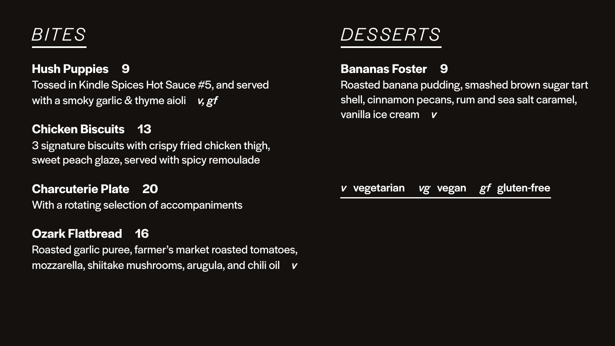# *BITES*

**Hush Puppies 9**  Tossed in Kindle Spices Hot Sauce #5, and served with a smoky garlic & thyme aioli*v, gf* 

**Chicken Biscuits 13** 3 signature biscuits with crispy fried chicken thigh, sweet peach glaze, served with spicy remoulade

**Charcuterie Plate 20** With a rotating selection of accompaniments

**Ozark Flatbread 16**  Roasted garlic puree, farmer's market roasted tomatoes, mozzarella, shiitake mushrooms, arugula, and chili oil *v*

# *DESSERTS*

## **Bananas Foster 9** Roasted banana pudding, smashed brown sugar tart shell, cinnamon pecans, rum and sea salt caramel, vanilla ice cream *v*

### *v* vegetarian *vg* vegan *gf* gluten-free